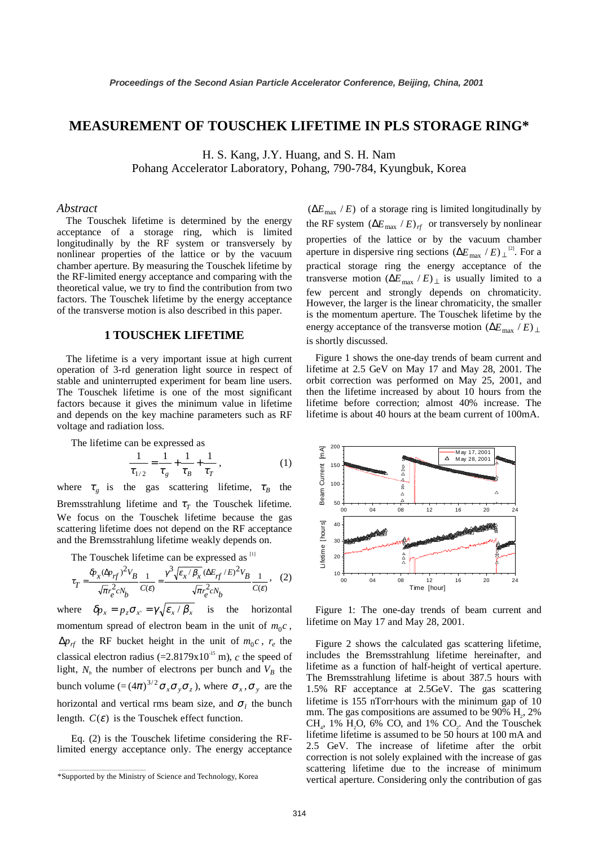## **MEASUREMENT OF TOUSCHEK LIFETIME IN PLS STORAGE RING\***

H. S. Kang, J.Y. Huang, and S. H. Nam Pohang Accelerator Laboratory, Pohang, 790-784, Kyungbuk, Korea

#### *Abstract*

The Touschek lifetime is determined by the energy acceptance of a storage ring, which is limited longitudinally by the RF system or transversely by nonlinear properties of the lattice or by the vacuum chamber aperture. By measuring the Touschek lifetime by the RF-limited energy acceptance and comparing with the theoretical value, we try to find the contribution from two factors. The Touschek lifetime by the energy acceptance of the transverse motion is also described in this paper.

## **1 TOUSCHEK LIFETIME**

The lifetime is a very important issue at high current operation of 3-rd generation light source in respect of stable and uninterrupted experiment for beam line users. The Touschek lifetime is one of the most significant factors because it gives the minimum value in lifetime and depends on the key machine parameters such as RF voltage and radiation loss.

The lifetime can be expressed as

$$
\frac{1}{\tau_{1/2}} = \frac{1}{\tau_g} + \frac{1}{\tau_B} + \frac{1}{\tau_T},
$$
 (1)

where  $\tau_g$  is the gas scattering lifetime,  $\tau_B$  the Bremsstrahlung lifetime and  $\tau$ <sub>T</sub> the Touschek lifetime. We focus on the Touschek lifetime because the gas scattering lifetime does not depend on the RF acceptance and the Bremsstrahlung lifetime weakly depends on.

The Touschek lifetime can be expressed as <sup>[1]</sup>

$$
\tau_T = \frac{\delta p_x (\Delta p_{rf})^2 V_B}{\sqrt{\pi r_e^2 c N_b}} \frac{1}{C(\varepsilon)} = \frac{\gamma^3 \sqrt{\varepsilon_x / \beta_x} (\Delta E_{rf} / E)^2 V_B}{\sqrt{\pi r_e^2 c N_b}} \frac{1}{C(\varepsilon)},
$$
 (2)

where  $\delta p_x = p_x \sigma_{x'} = \gamma \sqrt{\varepsilon_x / \beta_x}$  is the horizontal momentum spread of electron beam in the unit of  $m_0c$ ,  $\Delta p_{rf}$  the RF bucket height in the unit of  $m_0c$ ,  $r_e$  the classical electron radius (= $2.8179 \times 10^{-15}$  m), *c* the speed of light,  $N_b$  the number of electrons per bunch and  $V_B$  the bunch volume  $=(-\left(4\pi\right)^{3/2}\sigma_x\sigma_y\sigma_z)$ , where  $\sigma_x$ ,  $\sigma_y$  are the horizontal and vertical rms beam size, and  $\sigma_l$  the bunch length.  $C(\varepsilon)$  is the Touschek effect function.

Eq. (2) is the Touschek lifetime considering the RFlimited energy acceptance only. The energy acceptance

\_\_\_\_\_\_\_\_\_\_\_\_\_\_\_\_\_\_\_\_\_\_\_\_\_\_\_\_\_\_\_\_\_\_\_\_\_\_\_\_

 $(\Delta E_{\text{max}} / E)$  of a storage ring is limited longitudinally by the RF system  $(\Delta E_{\text{max}} / E)_{rf}$  or transversely by nonlinear properties of the lattice or by the vacuum chamber aperture in dispersive ring sections  $(\Delta E_{\text{max}} / E)_{\perp}$ <sup>[2]</sup>. For a practical storage ring the energy acceptance of the transverse motion  $(\Delta E_{\text{max}} / E)_{\perp}$  is usually limited to a few percent and strongly depends on chromaticity. However, the larger is the linear chromaticity, the smaller is the momentum aperture. The Touschek lifetime by the energy acceptance of the transverse motion  $(\Delta E_{\text{max}} / E)_{\perp}$ is shortly discussed.

Figure 1 shows the one-day trends of beam current and lifetime at 2.5 GeV on May 17 and May 28, 2001. The orbit correction was performed on May 25, 2001, and then the lifetime increased by about 10 hours from the lifetime before correction; almost 40% increase. The lifetime is about 40 hours at the beam current of 100mA.



Figure 1: The one-day trends of beam current and lifetime on May 17 and May 28, 2001.

Figure 2 shows the calculated gas scattering lifetime, includes the Bremsstrahlung lifetime hereinafter, and lifetime as a function of half-height of vertical aperture. The Bremsstrahlung lifetime is about 387.5 hours with 1.5% RF acceptance at 2.5GeV. The gas scattering lifetime is 155 nTorr⋅hours with the minimum gap of 10 mm. The gas compositions are assumed to be  $90\%$  H<sub>2</sub>, 2%  $CH<sub>a</sub>$ , 1% H<sub>2</sub>O, 6% CO, and 1% CO<sub>2</sub>. And the Touschek lifetime lifetime is assumed to be 50 hours at 100 mA and 2.5 GeV. The increase of lifetime after the orbit correction is not solely explained with the increase of gas scattering lifetime due to the increase of minimum vertical aperture. Considering only the contribution of gas

<sup>\*</sup>Supported by the Ministry of Science and Technology, Korea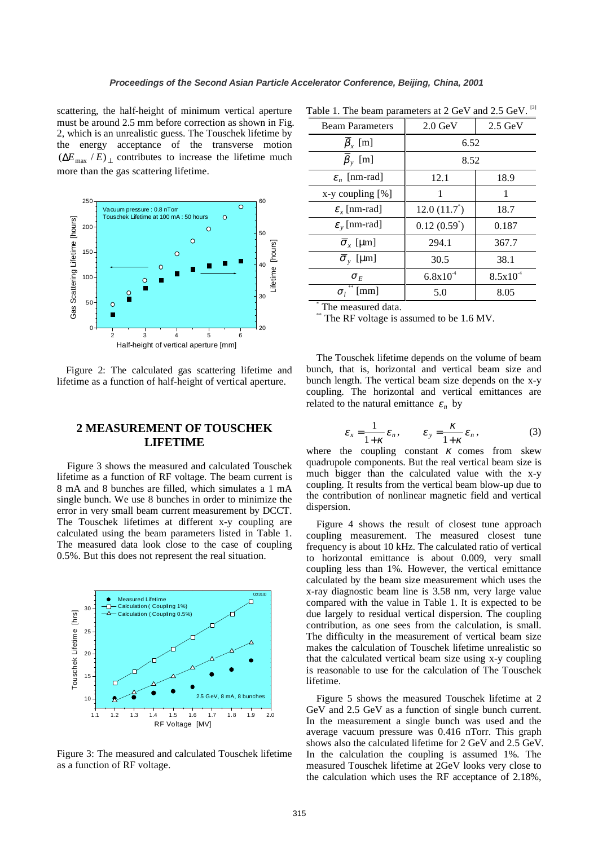scattering, the half-height of minimum vertical aperture must be around 2.5 mm before correction as shown in Fig. 2, which is an unrealistic guess. The Touschek lifetime by the energy acceptance of the transverse motion  $(\Delta E_{\text{max}} / E)$  contributes to increase the lifetime much more than the gas scattering lifetime.



Figure 2: The calculated gas scattering lifetime and lifetime as a function of half-height of vertical aperture.

# **2 MEASUREMENT OF TOUSCHEK LIFETIME**

Figure 3 shows the measured and calculated Touschek lifetime as a function of RF voltage. The beam current is 8 mA and 8 bunches are filled, which simulates a 1 mA single bunch. We use 8 bunches in order to minimize the error in very small beam current measurement by DCCT. The Touschek lifetimes at different x-y coupling are calculated using the beam parameters listed in Table 1. The measured data look close to the case of coupling 0.5%. But this does not represent the real situation.



Figure 3: The measured and calculated Touschek lifetime as a function of RF voltage.

| Table 1. The beam parameters at 2 GeV and 2.5 GeV. <sup>[3]</sup> |                   |                         |
|-------------------------------------------------------------------|-------------------|-------------------------|
| Doom Doromators                                                   | $200 \text{ GeV}$ | $25 \text{ C} \text{N}$ |

| <b>Beam Parameters</b>              | $2.0 \text{ GeV}$ | $2.5 \text{ GeV}$ |
|-------------------------------------|-------------------|-------------------|
| $\beta_x$ [m]                       | 6.52              |                   |
| $\bar{\beta}_{y}$ [m]               | 8.52              |                   |
| $\varepsilon_n$ [nm-rad]            | 12.1              | 18.9              |
| $x-y$ coupling $[\%]$               | 1                 | 1                 |
| $\varepsilon$ <sub>r</sub> [nm-rad] | $12.0(11.7^*)$    | 18.7              |
| $\varepsilon$ <sub>v</sub> [nm-rad] | $0.12(0.59^*)$    | 0.187             |
| $\overline{\sigma}_x$ [µm]          | 294.1             | 367.7             |
| $\overline{\sigma}_{v}$ [µm]        | 30.5              | 38.1              |
| $\sigma_F$                          | $6.8x10^{-4}$     | $8.5x10^{4}$      |
| [mm]<br>$\sigma$ ,                  | 5.0               | 8.05              |
| $TH =$<br>معملات المستنم معامد      |                   |                   |

The measured data.

The RF voltage is assumed to be 1.6 MV.

The Touschek lifetime depends on the volume of beam bunch, that is, horizontal and vertical beam size and bunch length. The vertical beam size depends on the x-y coupling. The horizontal and vertical emittances are related to the natural emittance  $\varepsilon_n$  by

$$
\varepsilon_x = \frac{1}{1+\kappa} \varepsilon_n, \qquad \varepsilon_y = \frac{\kappa}{1+\kappa} \varepsilon_n, \tag{3}
$$

where the coupling constant  $\kappa$  comes from skew quadrupole components. But the real vertical beam size is much bigger than the calculated value with the x-y coupling. It results from the vertical beam blow-up due to the contribution of nonlinear magnetic field and vertical dispersion.

Figure 4 shows the result of closest tune approach coupling measurement. The measured closest tune frequency is about 10 kHz. The calculated ratio of vertical to horizontal emittance is about 0.009, very small coupling less than 1%. However, the vertical emittance calculated by the beam size measurement which uses the x-ray diagnostic beam line is 3.58 nm, very large value compared with the value in Table 1. It is expected to be due largely to residual vertical dispersion. The coupling contribution, as one sees from the calculation, is small. The difficulty in the measurement of vertical beam size makes the calculation of Touschek lifetime unrealistic so that the calculated vertical beam size using x-y coupling is reasonable to use for the calculation of The Touschek lifetime.

Figure 5 shows the measured Touschek lifetime at 2 GeV and 2.5 GeV as a function of single bunch current. In the measurement a single bunch was used and the average vacuum pressure was 0.416 nTorr. This graph shows also the calculated lifetime for 2 GeV and 2.5 GeV. In the calculation the coupling is assumed 1%. The measured Touschek lifetime at 2GeV looks very close to the calculation which uses the RF acceptance of 2.18%,